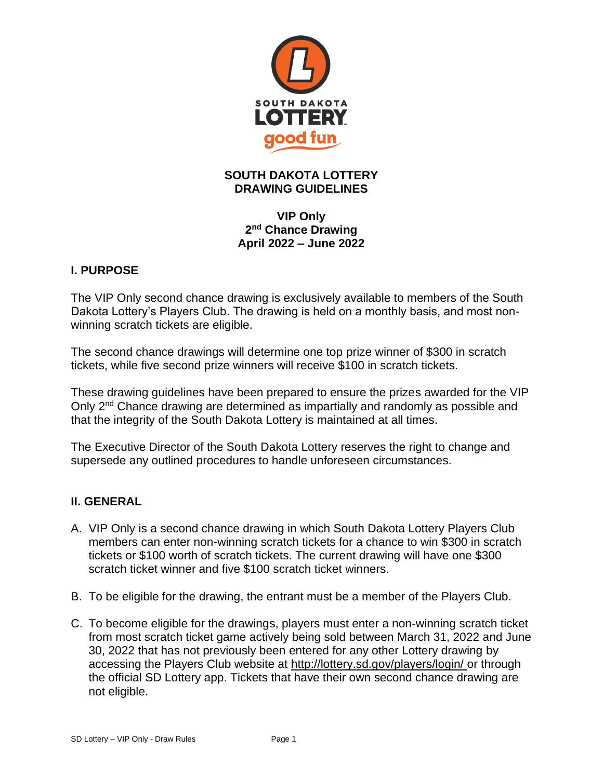

# **SOUTH DAKOTA LOTTERY DRAWING GUIDELINES**

**VIP Only 2 nd Chance Drawing April 2022 – June 2022**

## **I. PURPOSE**

The VIP Only second chance drawing is exclusively available to members of the South Dakota Lottery's Players Club. The drawing is held on a monthly basis, and most nonwinning scratch tickets are eligible.

The second chance drawings will determine one top prize winner of \$300 in scratch tickets, while five second prize winners will receive \$100 in scratch tickets.

These drawing guidelines have been prepared to ensure the prizes awarded for the VIP Only 2<sup>nd</sup> Chance drawing are determined as impartially and randomly as possible and that the integrity of the South Dakota Lottery is maintained at all times.

The Executive Director of the South Dakota Lottery reserves the right to change and supersede any outlined procedures to handle unforeseen circumstances.

## **II. GENERAL**

- A. VIP Only is a second chance drawing in which South Dakota Lottery Players Club members can enter non-winning scratch tickets for a chance to win \$300 in scratch tickets or \$100 worth of scratch tickets. The current drawing will have one \$300 scratch ticket winner and five \$100 scratch ticket winners.
- B. To be eligible for the drawing, the entrant must be a member of the Players Club.
- C. To become eligible for the drawings, players must enter a non-winning scratch ticket from most scratch ticket game actively being sold between March 31, 2022 and June 30, 2022 that has not previously been entered for any other Lottery drawing by accessing the Players Club website at<http://lottery.sd.gov/players/login/> or through the official SD Lottery app. Tickets that have their own second chance drawing are not eligible.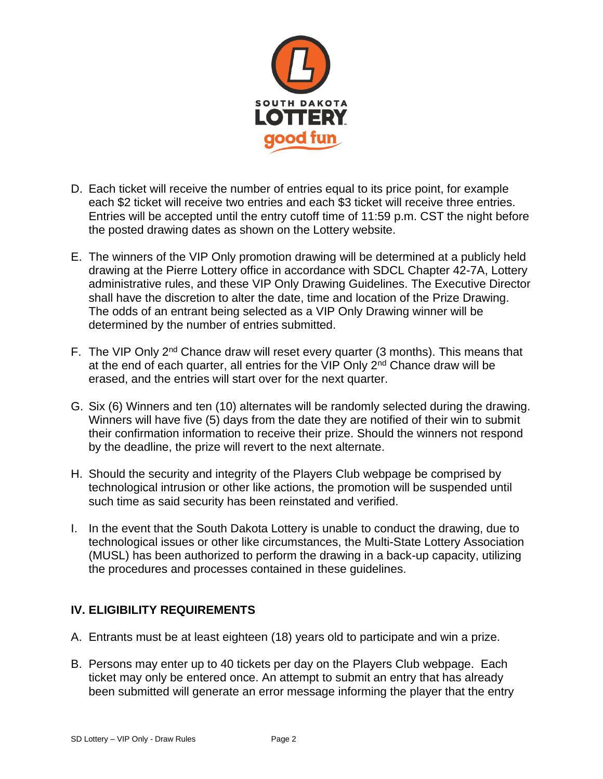

- D. Each ticket will receive the number of entries equal to its price point, for example each \$2 ticket will receive two entries and each \$3 ticket will receive three entries. Entries will be accepted until the entry cutoff time of 11:59 p.m. CST the night before the posted drawing dates as shown on the Lottery website.
- E. The winners of the VIP Only promotion drawing will be determined at a publicly held drawing at the Pierre Lottery office in accordance with SDCL Chapter 42-7A, Lottery administrative rules, and these VIP Only Drawing Guidelines. The Executive Director shall have the discretion to alter the date, time and location of the Prize Drawing. The odds of an entrant being selected as a VIP Only Drawing winner will be determined by the number of entries submitted.
- F. The VIP Only 2nd Chance draw will reset every quarter (3 months). This means that at the end of each quarter, all entries for the VIP Only  $2<sup>nd</sup>$  Chance draw will be erased, and the entries will start over for the next quarter.
- G. Six (6) Winners and ten (10) alternates will be randomly selected during the drawing. Winners will have five (5) days from the date they are notified of their win to submit their confirmation information to receive their prize. Should the winners not respond by the deadline, the prize will revert to the next alternate.
- H. Should the security and integrity of the Players Club webpage be comprised by technological intrusion or other like actions, the promotion will be suspended until such time as said security has been reinstated and verified.
- I. In the event that the South Dakota Lottery is unable to conduct the drawing, due to technological issues or other like circumstances, the Multi-State Lottery Association (MUSL) has been authorized to perform the drawing in a back-up capacity, utilizing the procedures and processes contained in these guidelines.

### **IV. ELIGIBILITY REQUIREMENTS**

- A. Entrants must be at least eighteen (18) years old to participate and win a prize.
- B. Persons may enter up to 40 tickets per day on the Players Club webpage. Each ticket may only be entered once. An attempt to submit an entry that has already been submitted will generate an error message informing the player that the entry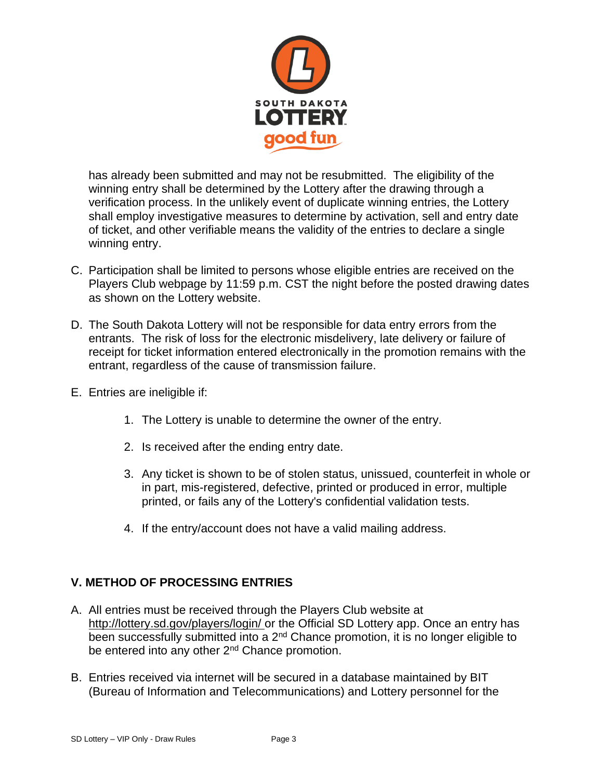

has already been submitted and may not be resubmitted. The eligibility of the winning entry shall be determined by the Lottery after the drawing through a verification process. In the unlikely event of duplicate winning entries, the Lottery shall employ investigative measures to determine by activation, sell and entry date of ticket, and other verifiable means the validity of the entries to declare a single winning entry.

- C. Participation shall be limited to persons whose eligible entries are received on the Players Club webpage by 11:59 p.m. CST the night before the posted drawing dates as shown on the Lottery website.
- D. The South Dakota Lottery will not be responsible for data entry errors from the entrants. The risk of loss for the electronic misdelivery, late delivery or failure of receipt for ticket information entered electronically in the promotion remains with the entrant, regardless of the cause of transmission failure.
- E. Entries are ineligible if:
	- 1. The Lottery is unable to determine the owner of the entry.
	- 2. Is received after the ending entry date.
	- 3. Any ticket is shown to be of stolen status, unissued, counterfeit in whole or in part, mis-registered, defective, printed or produced in error, multiple printed, or fails any of the Lottery's confidential validation tests.
	- 4. If the entry/account does not have a valid mailing address.

### **V. METHOD OF PROCESSING ENTRIES**

- A. All entries must be received through the Players Club website at <http://lottery.sd.gov/players/login/> or the Official SD Lottery app. Once an entry has been successfully submitted into a 2<sup>nd</sup> Chance promotion, it is no longer eligible to be entered into any other 2<sup>nd</sup> Chance promotion.
- B. Entries received via internet will be secured in a database maintained by BIT (Bureau of Information and Telecommunications) and Lottery personnel for the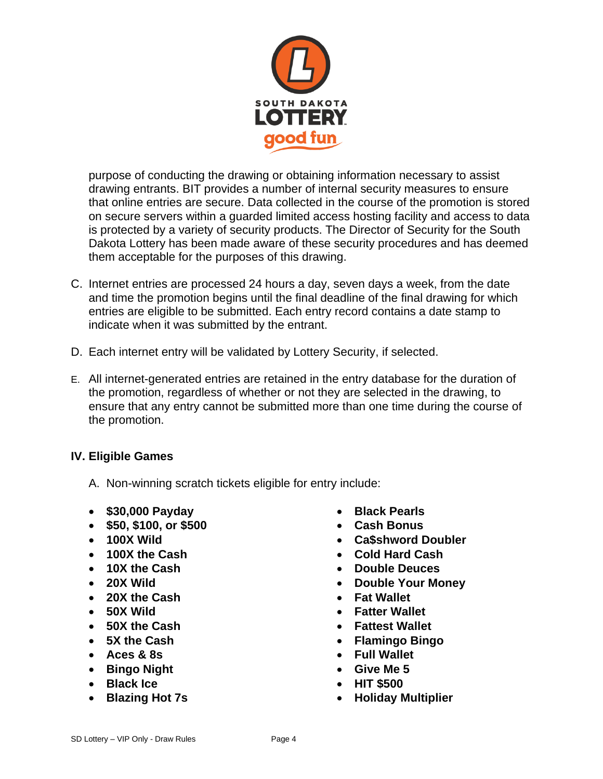

purpose of conducting the drawing or obtaining information necessary to assist drawing entrants. BIT provides a number of internal security measures to ensure that online entries are secure. Data collected in the course of the promotion is stored on secure servers within a guarded limited access hosting facility and access to data is protected by a variety of security products. The Director of Security for the South Dakota Lottery has been made aware of these security procedures and has deemed them acceptable for the purposes of this drawing.

- C. Internet entries are processed 24 hours a day, seven days a week, from the date and time the promotion begins until the final deadline of the final drawing for which entries are eligible to be submitted. Each entry record contains a date stamp to indicate when it was submitted by the entrant.
- D. Each internet entry will be validated by Lottery Security, if selected.
- E. All internet-generated entries are retained in the entry database for the duration of the promotion, regardless of whether or not they are selected in the drawing, to ensure that any entry cannot be submitted more than one time during the course of the promotion.

### **IV. Eligible Games**

- A. Non-winning scratch tickets eligible for entry include:
- **\$30,000 Payday**
- **\$50, \$100, or \$500**
- **100X Wild**
- **100X the Cash**
- **10X the Cash**
- **20X Wild**
- **20X the Cash**
- **50X Wild**
- **50X the Cash**
- **5X the Cash**
- **Aces & 8s**
- **Bingo Night**
- **Black Ice**
- **Blazing Hot 7s**
- **Black Pearls**
- **Cash Bonus**
- **Ca\$shword Doubler**
- **Cold Hard Cash**
- **Double Deuces**
- **Double Your Money**
- **Fat Wallet**
- **Fatter Wallet**
- **Fattest Wallet**
- **Flamingo Bingo**
- **Full Wallet**
- **Give Me 5**
- **HIT \$500**
- **Holiday Multiplier**